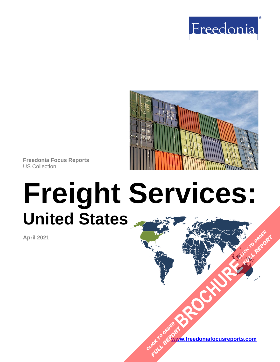



**Freedonia Focus Reports** US Collection

# **Freight Services: United States**

**April 2021**

**[www.freedoniafocusreports.com](https://www.freedoniafocusreports.com/redirect.asp?progid=89534&url=/)** CLICK TO ORDER **FULL REPORT** 

**[BROCHURE](https://www.freedoniafocusreports.com/Freight-Services-United-States-FF95064/?progid=89541) CLICK TO ORDER** 

**FULL REPORT**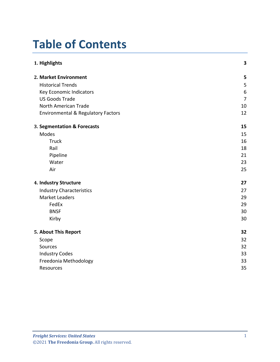# **Table of Contents**

| 1. Highlights                                 | 3              |
|-----------------------------------------------|----------------|
| 2. Market Environment                         | 5              |
| <b>Historical Trends</b>                      | 5              |
| Key Economic Indicators                       | 6              |
| <b>US Goods Trade</b>                         | $\overline{7}$ |
| North American Trade                          | 10             |
| <b>Environmental &amp; Regulatory Factors</b> | 12             |
| 3. Segmentation & Forecasts                   | 15             |
| Modes                                         | 15             |
| <b>Truck</b>                                  | 16             |
| Rail                                          | 18             |
| Pipeline                                      | 21             |
| Water                                         | 23             |
| Air                                           | 25             |
| 4. Industry Structure                         | 27             |
| <b>Industry Characteristics</b>               | 27             |
| <b>Market Leaders</b>                         | 29             |
| FedEx                                         | 29             |
| <b>BNSF</b>                                   | 30             |
| Kirby                                         | 30             |
| 5. About This Report                          | 32             |
| Scope                                         | 32             |
| Sources                                       | 32             |
| <b>Industry Codes</b>                         | 33             |
| Freedonia Methodology                         | 33             |
| Resources                                     | 35             |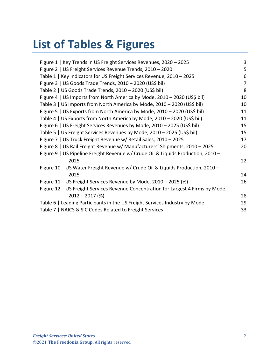# **List of Tables & Figures**

| Figure 1   Key Trends in US Freight Services Revenues, 2020 - 2025                 | 3  |
|------------------------------------------------------------------------------------|----|
| Figure 2   US Freight Services Revenue Trends, 2010 - 2020                         | 5  |
| Table 1   Key Indicators for US Freight Services Revenue, 2010 - 2025              | 6  |
| Figure 3   US Goods Trade Trends, 2010 - 2020 (US\$ bil)                           | 7  |
| Table 2   US Goods Trade Trends, 2010 - 2020 (US\$ bil)                            | 8  |
| Figure 4   US Imports from North America by Mode, 2010 - 2020 (US\$ bil)           | 10 |
| Table 3   US Imports from North America by Mode, 2010 - 2020 (US\$ bil)            | 10 |
| Figure 5   US Exports from North America by Mode, 2010 - 2020 (US\$ bil)           | 11 |
| Table 4   US Exports from North America by Mode, 2010 - 2020 (US\$ bil)            | 11 |
| Figure 6   US Freight Services Revenues by Mode, 2010 - 2025 (US\$ bil)            | 15 |
| Table 5   US Freight Services Revenues by Mode, 2010 - 2025 (US\$ bil)             | 15 |
| Figure 7   US Truck Freight Revenue w/ Retail Sales, 2010 - 2025                   | 17 |
| Figure 8   US Rail Freight Revenue w/ Manufacturers' Shipments, 2010 - 2025        | 20 |
| Figure 9   US Pipeline Freight Revenue w/ Crude Oil & Liquids Production, 2010 -   |    |
| 2025                                                                               | 22 |
| Figure 10   US Water Freight Revenue w/ Crude Oil & Liquids Production, 2010 -     |    |
| 2025                                                                               | 24 |
| Figure 11   US Freight Services Revenue by Mode, 2010 - 2025 (%)                   | 26 |
| Figure 12   US Freight Services Revenue Concentration for Largest 4 Firms by Mode, |    |
| $2012 - 2017$ (%)                                                                  | 28 |
| Table 6   Leading Participants in the US Freight Services Industry by Mode         | 29 |
| Table 7   NAICS & SIC Codes Related to Freight Services                            | 33 |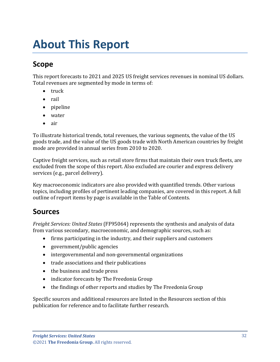# <span id="page-3-0"></span>**About This Report**

## <span id="page-3-1"></span>**Scope**

This report forecasts to 2021 and 2025 US freight services revenues in nominal US dollars. Total revenues are segmented by mode in terms of:

- truck
- rail
- pipeline
- water
- air

To illustrate historical trends, total revenues, the various segments, the value of the US goods trade, and the value of the US goods trade with North American countries by freight mode are provided in annual series from 2010 to 2020.

Captive freight services, such as retail store firms that maintain their own truck fleets, are excluded from the scope of this report. Also excluded are courier and express delivery services (e.g., parcel delivery).

Key macroeconomic indicators are also provided with quantified trends. Other various topics, including profiles of pertinent leading companies, are covered in this report. A full outline of report items by page is available in the Table of Contents.

### <span id="page-3-2"></span>**Sources**

*Freight Services: United States* (FF95064) represents the synthesis and analysis of data from various secondary, macroeconomic, and demographic sources, such as:

- firms participating in the industry, and their suppliers and customers
- government/public agencies
- intergovernmental and non-governmental organizations
- trade associations and their publications
- the business and trade press
- indicator forecasts by The Freedonia Group
- the findings of other reports and studies by The Freedonia Group

Specific sources and additional resources are listed in the Resources section of this publication for reference and to facilitate further research.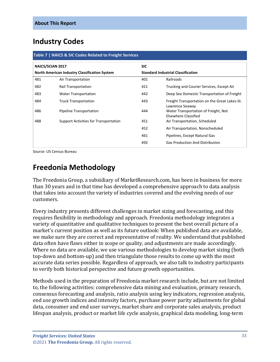### <span id="page-4-0"></span>**Industry Codes**

<span id="page-4-2"></span>

| <b>NAICS/SCIAN 2017</b><br><b>North American Industry Classification System</b> |                                       | <b>SIC</b> |                                                                  |
|---------------------------------------------------------------------------------|---------------------------------------|------------|------------------------------------------------------------------|
|                                                                                 |                                       |            | <b>Standard Industrial Classification</b>                        |
| 481                                                                             | Air Transportation                    | 401        | Railroads                                                        |
| 482                                                                             | <b>Rail Transportation</b>            | 421        | Trucking and Courier Services, Except Air                        |
| 483                                                                             | <b>Water Transportation</b>           | 442        | Deep Sea Domestic Transportation of Freight                      |
| 484                                                                             | <b>Truck Transportation</b>           | 443        | Freight Transportation on the Great Lakes-St.<br>Lawrence Seaway |
| 486                                                                             | Pipeline Transportation               | 444        | Water Transportation of Freight, Not<br>Elsewhere Classified     |
| 488                                                                             | Support Activities for Transportation | 451        | Air Transportation, Scheduled                                    |
|                                                                                 |                                       | 452        | Air Transportation, Nonscheduled                                 |
|                                                                                 |                                       | 461        | Pipelines, Except Natural Gas                                    |
|                                                                                 |                                       | 492        | <b>Gas Production And Distribution</b>                           |

Source: US Census Bureau

## <span id="page-4-1"></span>**Freedonia Methodology**

The Freedonia Group, a subsidiary of MarketResearch.com, has been in business for more than 30 years and in that time has developed a comprehensive approach to data analysis that takes into account the variety of industries covered and the evolving needs of our customers.

Every industry presents different challenges in market sizing and forecasting, and this requires flexibility in methodology and approach. Freedonia methodology integrates a variety of quantitative and qualitative techniques to present the best overall picture of a market's current position as well as its future outlook: When published data are available, we make sure they are correct and representative of reality. We understand that published data often have flaws either in scope or quality, and adjustments are made accordingly. Where no data are available, we use various methodologies to develop market sizing (both top-down and bottom-up) and then triangulate those results to come up with the most accurate data series possible. Regardless of approach, we also talk to industry participants to verify both historical perspective and future growth opportunities.

Methods used in the preparation of Freedonia market research include, but are not limited to, the following activities: comprehensive data mining and evaluation, primary research, consensus forecasting and analysis, ratio analysis using key indicators, regression analysis, end use growth indices and intensity factors, purchase power parity adjustments for global data, consumer and end user surveys, market share and corporate sales analysis, product lifespan analysis, product or market life cycle analysis, graphical data modeling, long-term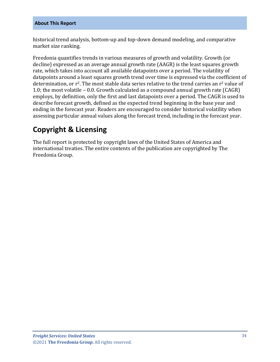historical trend analysis, bottom-up and top-down demand modeling, and comparative market size ranking.

Freedonia quantifies trends in various measures of growth and volatility. Growth (or decline) expressed as an average annual growth rate (AAGR) is the least squares growth rate, which takes into account all available datapoints over a period. The volatility of datapoints around a least squares growth trend over time is expressed via the coefficient of determination, or  $r^2$ . The most stable data series relative to the trend carries an  $r^2$  value of 1.0; the most volatile – 0.0. Growth calculated as a compound annual growth rate (CAGR) employs, by definition, only the first and last datapoints over a period. The CAGR is used to describe forecast growth, defined as the expected trend beginning in the base year and ending in the forecast year. Readers are encouraged to consider historical volatility when assessing particular annual values along the forecast trend, including in the forecast year.

## **Copyright & Licensing**

The full report is protected by copyright laws of the United States of America and international treaties. The entire contents of the publication are copyrighted by The Freedonia Group.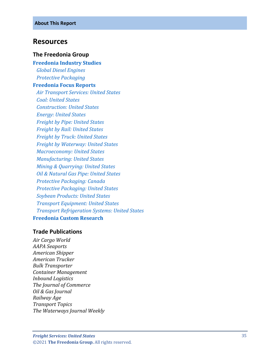#### <span id="page-6-0"></span>**Resources**

#### **The Freedonia Group**

**[Freedonia Industry Studies](http://www.freedoniagroup.com/Home.aspx?ReferrerId=FL-Focus)**  *[Global Diesel Engines](http://www.freedoniagroup.com/DocumentDetails.aspx?ReferrerId=FL-FOCUS&studyid=3734) [Protective Packaging](http://www.freedoniagroup.com/DocumentDetails.aspx?ReferrerId=FL-FOCUS&studyid=3797)* **[Freedonia Focus Reports](https://www.freedoniafocusreports.com/redirect.asp?progid=89534&url=/)**  *[Air Transport Services: United States](https://www.freedoniafocusreports.com/Air-Transport-Services-United-States-FF95033/?progid=89534) [Coal: United States](https://www.freedoniafocusreports.com/Coal-United-States-FF45012/?progid=89534) [Construction: United States](https://www.freedoniafocusreports.com/Construction-United-States-FF60054/?progid=89534) [Energy: United States](https://www.freedoniafocusreports.com/Energy-United-States-FF45043/?progid=89534) [Freight by Pipe: United States](https://www.freedoniafocusreports.com/Freight-by-Pipe-United-States-FF85046/?progid=89534) [Freight by Rail: United States](https://www.freedoniafocusreports.com/Freight-by-Rail-United-States-FF85019/?progid=89534) [Freight by Truck: United States](https://www.freedoniafocusreports.com/Freight-by-Truck-United-States-FF85026/?progid=89534) [Freight by Waterway: United States](https://www.freedoniafocusreports.com/Freight-by-Waterway-United-States-FF85027/?progid=89534) [Macroeconomy: United States](https://www.freedoniafocusreports.com/Macroeconomy-United-States-FF95051/?progid=89534) [Manufacturing: United States](https://www.freedoniafocusreports.com/Manufacturing-United-States-FF70032/?progid=89534) [Mining & Quarrying: United States](https://www.freedoniafocusreports.com/Mining-Quarrying-United-States-FF65051/?progid=89534) [Oil & Natural Gas Pipe: United States](https://www.freedoniafocusreports.com/Oil-Natural-Gas-Pipe-United-States-FF45046/?progid=89534) [Protective Packaging: Canada](https://www.freedoniafocusreports.com/Protective-Packaging-Canada-FA30020/?progid=89534) [Protective Packaging: United States](https://www.freedoniafocusreports.com/Protective-Packaging-United-States-FF30020/?progid=89534) [Soybean Products: United States](https://www.freedoniafocusreports.com/Soybean-Products-United-States-FF10021/?progid=89534) [Transport Equipment: United States](https://www.freedoniafocusreports.com/Transport-Equipment-United-States-FF85030/?progid=89534) [Transport Refrigeration Systems: United States](https://www.freedoniafocusreports.com/Transport-Refrigeration-Systems-United-States-FF85034/?progid=89534)* **[Freedonia Custom Research](http://www.freedoniagroup.com/CustomResearch.aspx?ReferrerId=FL-Focus)**

#### **Trade Publications**

*Air Cargo World AAPA Seaports American Shipper American Trucker Bulk Transporter Container Management Inbound Logistics The Journal of Commerce Oil & Gas Journal Railway Age Transport Topics The Waterways Journal Weekly*